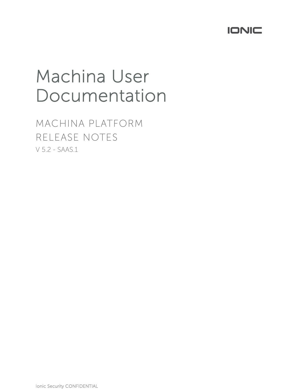

# Machina User Documentation

MACHINA PLATFORM RELEASE NOTES V 5.2 - SAAS.1

Ionic Security CONFIDENTIAL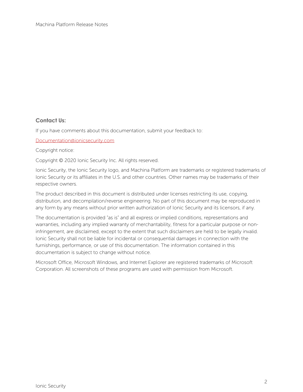#### **Contact Us:**

If you have comments about this documentation, submit your feedback to:

Documentation@ionicsecurity.com

Copyright notice:

Copyright © 2020 Ionic Security Inc. All rights reserved.

Ionic Security, the Ionic Security logo, and Machina Platform are trademarks or registered trademarks of Ionic Security or its affiliates in the U.S. and other countries. Other names may be trademarks of their respective owners.

The product described in this document is distributed under licenses restricting its use, copying, distribution, and decompilation/reverse engineering. No part of this document may be reproduced in any form by any means without prior written authorization of Ionic Security and its licensors, if any.

The documentation is provided "as is" and all express or implied conditions, representations and warranties, including any implied warranty of merchantability, fitness for a particular purpose or noninfringement, are disclaimed, except to the extent that such disclaimers are held to be legally invalid. Ionic Security shall not be liable for incidental or consequential damages in connection with the furnishings, performance, or use of this documentation. The information contained in this documentation is subject to change without notice.

Microsoft Office, Microsoft Windows, and Internet Explorer are registered trademarks of Microsoft Corporation. All screenshots of these programs are used with permission from Microsoft.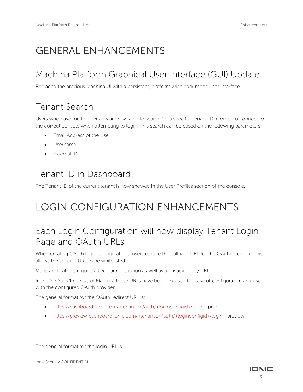# GENERAL ENHANCEMENTS

### Machina Platform Graphical User Interface (GUI) Update

Replaced the previous Machina UI with a persistent, platform wide dark-mode user interface.

#### Tenant Search

Users who have multiple tenants are now able to search for a specific Tenant ID in order to connect to the correct console when attempting to login. This search can be based on the following parameters:

- Email Address of the User
- Username
- External ID

#### Tenant ID in Dashboard

The Tenant ID of the current tenant is now showed in the User Profiles section of the console.

# LOGIN CONFIGURATION ENHANCEMENTS

#### Each Login Configuration will now display Tenant Login Page and OAuth URLs

When creating OAuth login configurations, users require the callback URL for the OAuth provider. This allows the specific URL to be whitelisted.

Many applications require a URL for registration as well as a privacy policy URL.

In the 5.2 SaaS.1 release of Machina these URLs have been exposed for ease of configuration and use with the configured OAuth provider.

The general format for the OAuth redirect URL is:

- https://dashboard.ionic.com/<tenantid>/auth/<loginconfigid>/login prod
- https://preview-dashboard.ionic.com/<tenantid>/auth/<loginconfigid>/login preview

The general format for the login URL is:

Ionic Security CONFIDENTIAL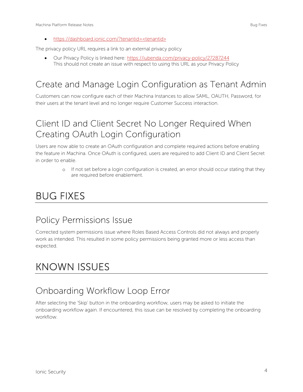• https://dashboard.ionic.com/?tenantid=<tenantid>

The privacy policy URL requires a link to an external privacy policy

• Our Privacy Policy is linked here: https://iubenda.com/privacy-policy/27287244 This should not create an issue with respect to using this URL as your Privacy Policy

### Create and Manage Login Configuration as Tenant Admin

Customers can now configure each of their Machina Instances to allow SAML, OAUTH, Password, for their users at the tenant level and no longer require Customer Success interaction.

#### Client ID and Client Secret No Longer Required When Creating OAuth Login Configuration

Users are now able to create an OAuth configuration and complete required actions before enabling the feature in Machina. Once OAuth is configured, users are required to add Client ID and Client Secret in order to enable.

> o If not set before a login configuration is created, an error should occur stating that they are required before enablement.

## BUG FIXES

#### Policy Permissions Issue

Corrected system permissions issue where Roles Based Access Controls did not always and properly work as intended. This resulted in some policy permissions being granted more or less access than expected.

# KNOWN ISSUES

#### Onboarding Workflow Loop Error

After selecting the 'Skip' button in the onboarding workflow, users may be asked to initiate the onboarding workflow again. If encountered, this issue can be resolved by completing the onboarding workflow.